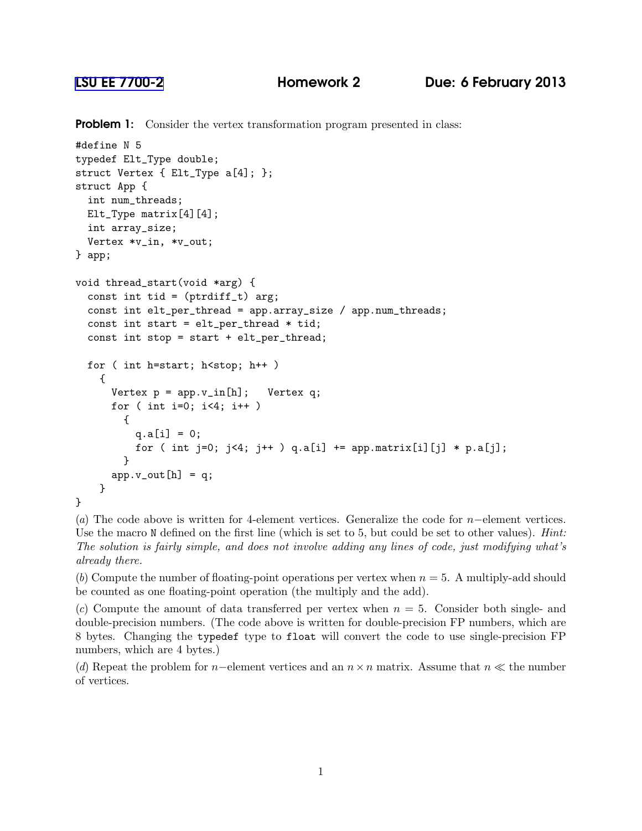**Problem 1:** Consider the vertex transformation program presented in class:

```
#define N 5
typedef Elt_Type double;
struct Vertex { Elt_Type a[4]; };
struct App {
  int num_threads;
 Elt_Type matrix[4][4];
  int array_size;
  Vertex *v_in, *v_out;
} app;
void thread_start(void *arg) {
  const int tid = (\text{ptridiff}_t) arg;
  const int elt_per_thread = app.array_size / app.num_threads;
  const int start = elt_per_thread * tid;
  const int stop = start + elt_per_thread;
 for ( int h=start; h<stop; h++ )
    {
      Vertex p = app.v_in[h]; Vertex q;
      for ( int i=0; i < 4; i++ )
        {
          q.a[i] = 0;for ( int j=0; j<4; j++ ) q.a[i] += app.matrix[i][j] * p.a[j];
        }
      app.v_out[h] = q;}
}
```
(*a*) The code above is written for 4-element vertices. Generalize the code for n−element vertices. Use the macro N defined on the first line (which is set to 5, but could be set to other values). *Hint: The solution is fairly simple, and does not involve adding any lines of code, just modifying what's already there.*

(*b*) Compute the number of floating-point operations per vertex when  $n = 5$ . A multiply-add should be counted as one floating-point operation (the multiply and the add).

 $(c)$  Compute the amount of data transferred per vertex when  $n = 5$ . Consider both single- and double-precision numbers. (The code above is written for double-precision FP numbers, which are 8 bytes. Changing the typedef type to float will convert the code to use single-precision FP numbers, which are 4 bytes.)

(*d*) Repeat the problem for n–element vertices and an  $n \times n$  matrix. Assume that  $n \ll$  the number of vertices.